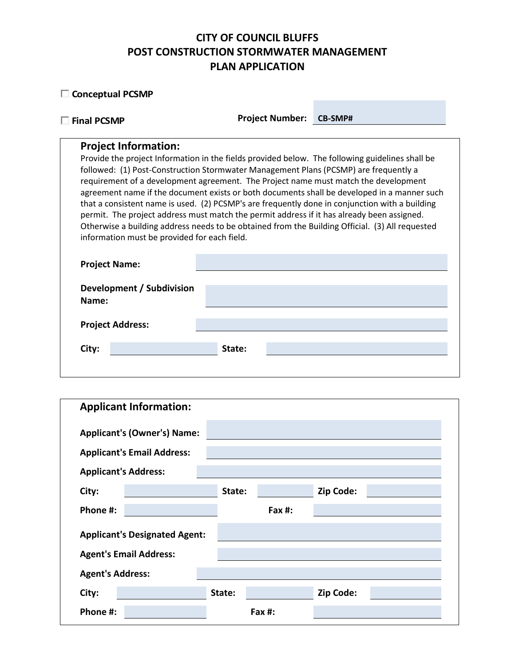# **CITY OF COUNCIL BLUFFS POST CONSTRUCTION STORMWATER MANAGEMENT PLAN APPLICATION**

| <b>Conceptual PCSMP</b>                                                                                                                                                                                                                                                                                                                                  |                        |                                                                                                                                                                                                                                                                                                                                                                                                     |
|----------------------------------------------------------------------------------------------------------------------------------------------------------------------------------------------------------------------------------------------------------------------------------------------------------------------------------------------------------|------------------------|-----------------------------------------------------------------------------------------------------------------------------------------------------------------------------------------------------------------------------------------------------------------------------------------------------------------------------------------------------------------------------------------------------|
| <b>Final PCSMP</b>                                                                                                                                                                                                                                                                                                                                       | <b>Project Number:</b> | <b>CB-SMP#</b>                                                                                                                                                                                                                                                                                                                                                                                      |
| <b>Project Information:</b><br>followed: (1) Post-Construction Stormwater Management Plans (PCSMP) are frequently a<br>requirement of a development agreement. The Project name must match the development<br>permit. The project address must match the permit address if it has already been assigned.<br>information must be provided for each field. |                        | Provide the project Information in the fields provided below. The following guidelines shall be<br>agreement name if the document exists or both documents shall be developed in a manner such<br>that a consistent name is used. (2) PCSMP's are frequently done in conjunction with a building<br>Otherwise a building address needs to be obtained from the Building Official. (3) All requested |
| <b>Project Name:</b>                                                                                                                                                                                                                                                                                                                                     |                        |                                                                                                                                                                                                                                                                                                                                                                                                     |
| Development / Subdivision<br>Name:                                                                                                                                                                                                                                                                                                                       |                        |                                                                                                                                                                                                                                                                                                                                                                                                     |
| <b>Project Address:</b>                                                                                                                                                                                                                                                                                                                                  |                        |                                                                                                                                                                                                                                                                                                                                                                                                     |
| City:                                                                                                                                                                                                                                                                                                                                                    | State:                 |                                                                                                                                                                                                                                                                                                                                                                                                     |

| <b>Applicant Information:</b>        |        |           |           |  |
|--------------------------------------|--------|-----------|-----------|--|
| <b>Applicant's (Owner's) Name:</b>   |        |           |           |  |
| <b>Applicant's Email Address:</b>    |        |           |           |  |
| <b>Applicant's Address:</b>          |        |           |           |  |
| City:                                | State: |           | Zip Code: |  |
| Phone #:                             |        | Fax $#$ : |           |  |
| <b>Applicant's Designated Agent:</b> |        |           |           |  |
| <b>Agent's Email Address:</b>        |        |           |           |  |
| <b>Agent's Address:</b>              |        |           |           |  |
| City:                                | State: |           | Zip Code: |  |
| Phone #:                             |        | Fax $#$ : |           |  |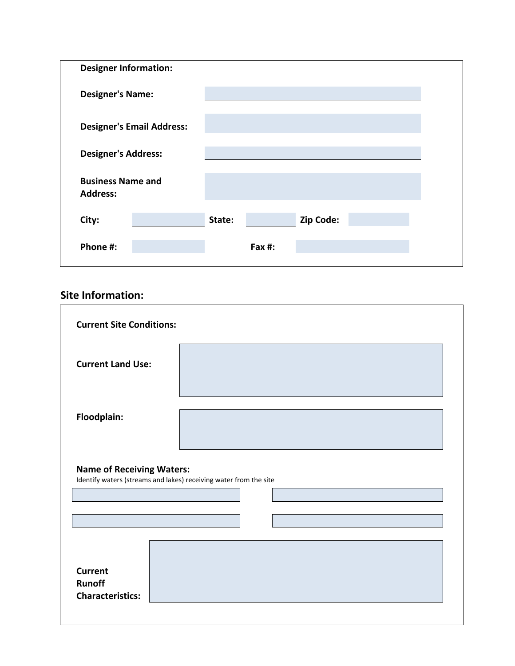| <b>Designer Information:</b>                |                                  |        |           |           |  |
|---------------------------------------------|----------------------------------|--------|-----------|-----------|--|
| <b>Designer's Name:</b>                     |                                  |        |           |           |  |
|                                             | <b>Designer's Email Address:</b> |        |           |           |  |
| <b>Designer's Address:</b>                  |                                  |        |           |           |  |
| <b>Business Name and</b><br><b>Address:</b> |                                  |        |           |           |  |
| City:                                       |                                  | State: |           | Zip Code: |  |
| Phone #:                                    |                                  |        | Fax $#$ : |           |  |

# **Site Information:**

| <b>Current Site Conditions:</b>  |                                                                   |
|----------------------------------|-------------------------------------------------------------------|
| <b>Current Land Use:</b>         |                                                                   |
| Floodplain:                      |                                                                   |
|                                  |                                                                   |
| <b>Name of Receiving Waters:</b> | Identify waters (streams and lakes) receiving water from the site |
|                                  |                                                                   |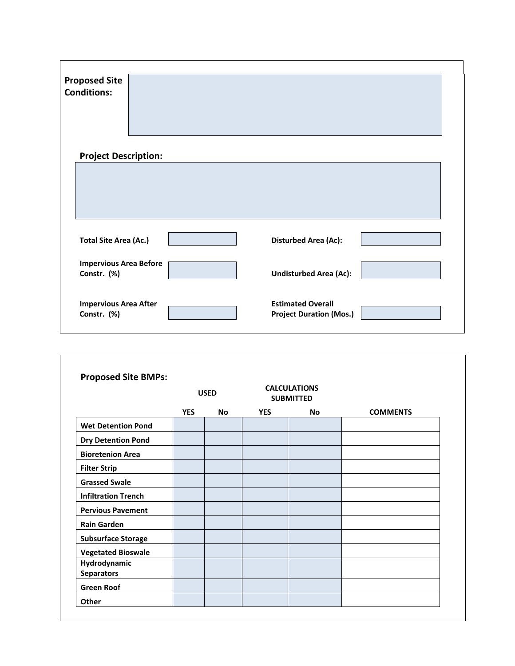| <b>Proposed Site</b><br><b>Conditions:</b>   |  |                                                            |  |
|----------------------------------------------|--|------------------------------------------------------------|--|
|                                              |  |                                                            |  |
| <b>Project Description:</b>                  |  |                                                            |  |
|                                              |  |                                                            |  |
|                                              |  |                                                            |  |
|                                              |  |                                                            |  |
| <b>Total Site Area (Ac.)</b>                 |  | <b>Disturbed Area (Ac):</b>                                |  |
| <b>Impervious Area Before</b><br>Constr. (%) |  | <b>Undisturbed Area (Ac):</b>                              |  |
| <b>Impervious Area After</b><br>Constr. (%)  |  | <b>Estimated Overall</b><br><b>Project Duration (Mos.)</b> |  |

| <b>Proposed Site BMPs:</b>        | <b>USED</b> |           | <b>CALCULATIONS</b><br><b>SUBMITTED</b> |           |                 |
|-----------------------------------|-------------|-----------|-----------------------------------------|-----------|-----------------|
|                                   | <b>YES</b>  | <b>No</b> | <b>YES</b>                              | <b>No</b> | <b>COMMENTS</b> |
| <b>Wet Detention Pond</b>         |             |           |                                         |           |                 |
| <b>Dry Detention Pond</b>         |             |           |                                         |           |                 |
| <b>Bioretenion Area</b>           |             |           |                                         |           |                 |
| <b>Filter Strip</b>               |             |           |                                         |           |                 |
| <b>Grassed Swale</b>              |             |           |                                         |           |                 |
| <b>Infiltration Trench</b>        |             |           |                                         |           |                 |
| <b>Pervious Pavement</b>          |             |           |                                         |           |                 |
| <b>Rain Garden</b>                |             |           |                                         |           |                 |
| <b>Subsurface Storage</b>         |             |           |                                         |           |                 |
| <b>Vegetated Bioswale</b>         |             |           |                                         |           |                 |
| Hydrodynamic<br><b>Separators</b> |             |           |                                         |           |                 |
| <b>Green Roof</b>                 |             |           |                                         |           |                 |
| Other                             |             |           |                                         |           |                 |